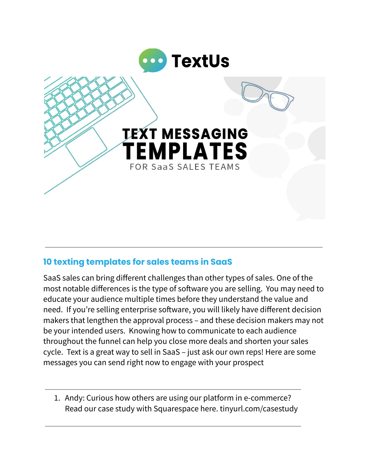

## **10 texting templates for sales teams in SaaS**

SaaS sales can bring different challenges than other types of sales. One of the most notable differences is the type of software you are selling. You may need to educate your audience multiple times before they understand the value and need. If you're selling enterprise software, you will likely have different decision makers that lengthen the approval process – and these decision makers may not be your intended users. Knowing how to communicate to each audience throughout the funnel can help you close more deals and shorten your sales cycle. Text is a great way to sell in SaaS – just ask our own [reps!](https://textus.com/4-strategies-for-sales-success-in-2022/) Here are some messages you can send right now to engage with your prospect

1. Andy: Curious how others are using our platform in e-commerce? Read our case study with Squarespace here. tinyurl.com/casestudy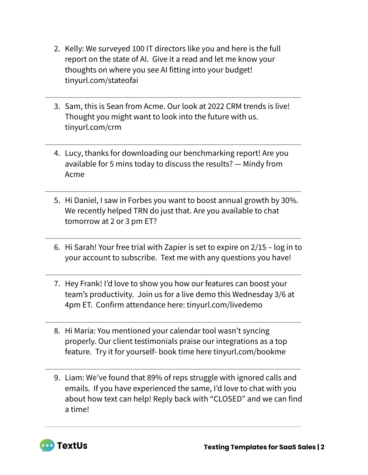- 2. Kelly: We surveyed 100 IT directors like you and here is the full report on the state of AI. Give it a read and let me know your thoughts on where you see AI fitting into your budget! tinyurl.com/stateofai
- 3. Sam, this is Sean from Acme. Our look at 2022 CRM trends is live! Thought you might want to look into the future with us. tinyurl.com/crm
- 4. Lucy, thanks for downloading our benchmarking report! Are you available for 5 mins today to discuss the results? — Mindy from Acme
- 5. Hi Daniel, I saw in Forbes you want to boost annual growth by 30%. We recently helped TRN do just that. Are you available to chat tomorrow at 2 or 3 pm ET?
- 6. Hi Sarah! Your free trial with Zapier is set to expire on 2/15 log in to your account to subscribe. Text me with any questions you have!
- 7. Hey Frank! I'd love to show you how our features can boost your team's productivity. Join us for a live demo this Wednesday 3/6 at 4pm ET. Confirm attendance here: tinyurl.com/livedemo
- 8. Hi Maria: You mentioned your calendar tool wasn't syncing properly. Our client testimonials praise our integrations as a top feature. Try it for yourself- book time here tinyurl.com/bookme
- 9. Liam: We've found that 89% of reps struggle with ignored calls and emails. If you have experienced the same, I'd love to chat with you about how text can help! Reply back with "CLOSED" and we can find a time!